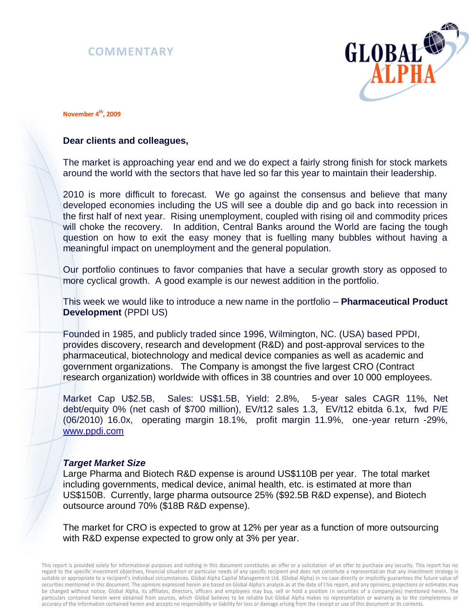# **COMMENTARY**



**November 4th, 2009**

# **Dear clients and colleagues,**

The market is approaching year end and we do expect a fairly strong finish for stock markets around the world with the sectors that have led so far this year to maintain their leadership.

2010 is more difficult to forecast. We go against the consensus and believe that many developed economies including the US will see a double dip and go back into recession in the first half of next year. Rising unemployment, coupled with rising oil and commodity prices will choke the recovery. In addition, Central Banks around the World are facing the tough question on how to exit the easy money that is fuelling many bubbles without having a meaningful impact on unemployment and the general population.

Our portfolio continues to favor companies that have a secular growth story as opposed to more cyclical growth. A good example is our newest addition in the portfolio.

This week we would like to introduce a new name in the portfolio – **Pharmaceutical Product Development** (PPDI US)

Founded in 1985, and publicly traded since 1996, Wilmington, NC. (USA) based PPDI, provides discovery, research and development (R&D) and post-approval services to the pharmaceutical, biotechnology and medical device companies as well as academic and government organizations. The Company is amongst the five largest CRO (Contract research organization) worldwide with offices in 38 countries and over 10 000 employees.

Market Cap U\$2.5B, Sales: US\$1.5B, Yield: 2.8%, 5-year sales CAGR 11%, Net debt/equity 0% (net cash of \$700 million), EV/t12 sales 1.3, EV/t12 ebitda 6.1x, fwd P/E (06/2010) 16.0x, operating margin 18.1%, profit margin 11.9%, one-year return -29%, [www.ppdi.com](http://www.ppdi.com/)

## *Target Market Size*

Large Pharma and Biotech R&D expense is around US\$110B per year. The total market including governments, medical device, animal health, etc. is estimated at more than US\$150B. Currently, large pharma outsource 25% (\$92.5B R&D expense), and Biotech outsource around 70% (\$18B R&D expense).

The market for CRO is expected to grow at 12% per year as a function of more outsourcing with R&D expense expected to grow only at 3% per year.

This report is provided solely for informational purposes and nothing in this document constitutes an offer or a solicitation of an offer to purchase any security. This report has no regard to the specific investment objectives, financial situation or particular needs of any specific recipient and does not constitute a representati on that any investment strategy is suitable or appropriate to a recipient's individual circumstances. Global Alpha Capital Management Ltd. (Global Alpha) in no case directly or implicitly guarantees the future value of securities mentioned in this document. The opinions expressed herein are based on Global Alpha's analysis as at the date of t his report, and any opinions, projections or estimates may be changed without notice. Global Alpha, its affiliates, directors, officers and employees may buy, sell or hold a position in securities of a company(ies) mentioned herein. The particulars contained herein were obtained from sources, which Global believes to be reliable but Global Alpha makes no representation or warranty as to the completeness or accuracy of the information contained herein and accepts no responsibility or liability for loss or damage arising from the r eceipt or use of this document or its contents.